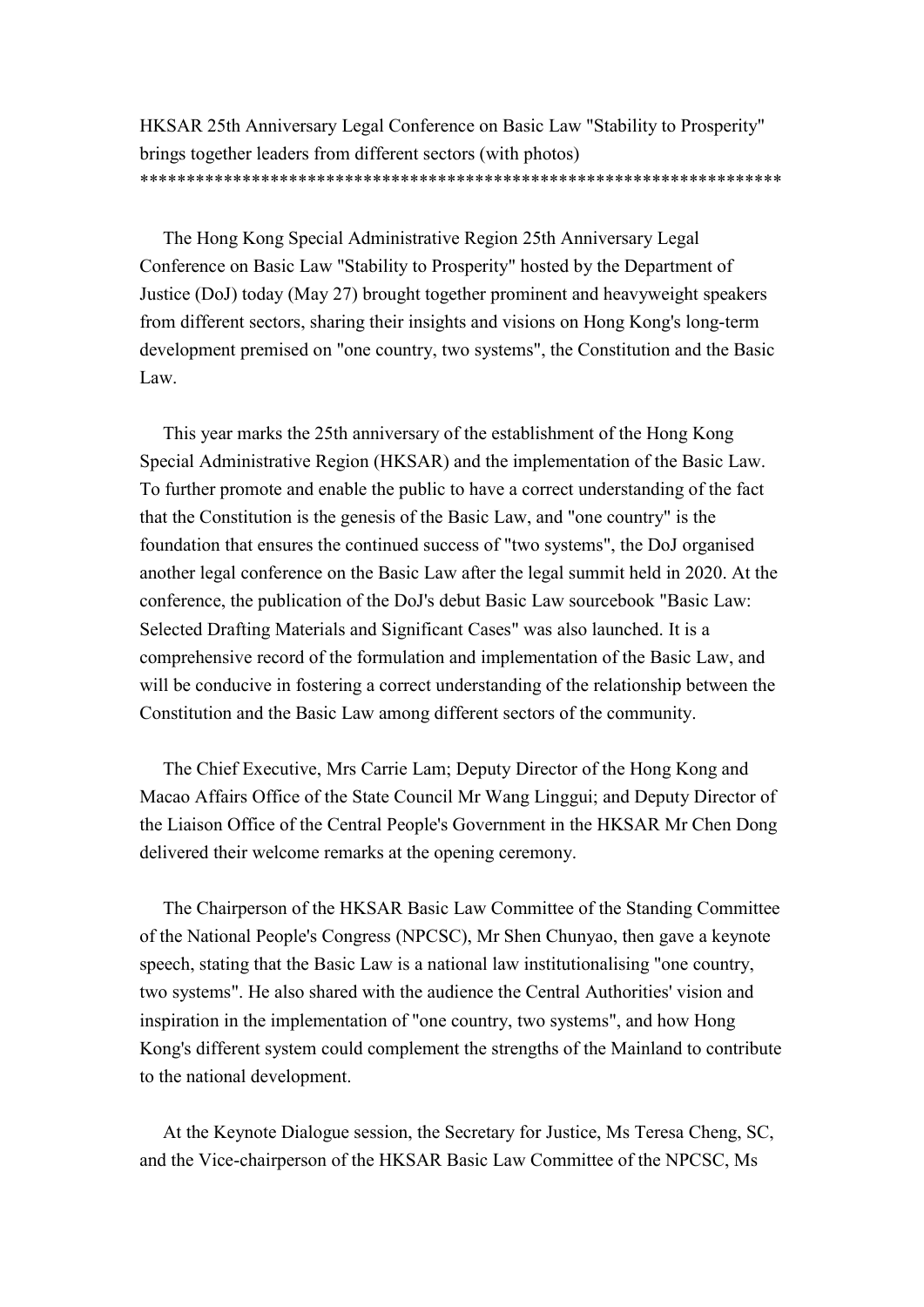HKSAR 25th Anniversary Legal Conference on Basic Law "Stability to Prosperity" brings together leaders from different sectors (with photos) \*\*\*\*\*\*\*\*\*\*\*\*\*\*\*\*\*\*\*\*\*\*\*\*\*\*\*\*\*\*\*\*\*\*\*\*\*\*\*\*\*\*\*\*\*\*\*\*\*\*\*\*\*\*\*\*\*\*\*\*\*\*\*\*\*\*\*\*\*

The Hong Kong Special Administrative Region 25th Anniversary Legal Conference on Basic Law "Stability to Prosperity" hosted by the Department of Justice (DoJ) today (May 27) brought together prominent and heavyweight speakers from different sectors, sharing their insights and visions on Hong Kong's long-term development premised on "one country, two systems", the Constitution and the Basic Law.

This year marks the 25th anniversary of the establishment of the Hong Kong Special Administrative Region (HKSAR) and the implementation of the Basic Law. To further promote and enable the public to have a correct understanding of the fact that the Constitution is the genesis of the Basic Law, and "one country" is the foundation that ensures the continued success of "two systems", the DoJ organised another legal conference on the Basic Law after the legal summit held in 2020. At the conference, the publication of the DoJ's debut Basic Law sourcebook "Basic Law: Selected Drafting Materials and Significant Cases" was also launched. It is a comprehensive record of the formulation and implementation of the Basic Law, and will be conducive in fostering a correct understanding of the relationship between the Constitution and the Basic Law among different sectors of the community.

The Chief Executive, Mrs Carrie Lam; Deputy Director of the Hong Kong and Macao Affairs Office of the State Council Mr Wang Linggui; and Deputy Director of the Liaison Office of the Central People's Government in the HKSAR Mr Chen Dong delivered their welcome remarks at the opening ceremony.

The Chairperson of the HKSAR Basic Law Committee of the Standing Committee of the National People's Congress (NPCSC), Mr Shen Chunyao, then gave a keynote speech, stating that the Basic Law is a national law institutionalising "one country, two systems". He also shared with the audience the Central Authorities' vision and inspiration in the implementation of "one country, two systems", and how Hong Kong's different system could complement the strengths of the Mainland to contribute to the national development.

At the Keynote Dialogue session, the Secretary for Justice, Ms Teresa Cheng, SC, and the Vice-chairperson of the HKSAR Basic Law Committee of the NPCSC, Ms